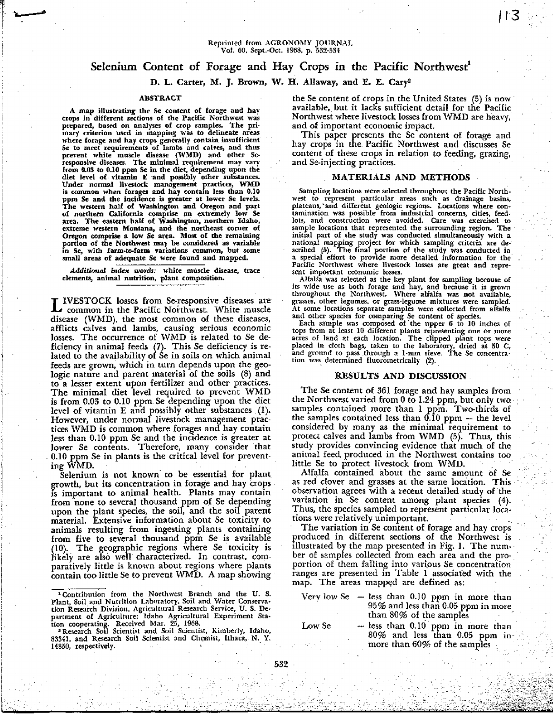# Selenium Content of Forage and Hay Crops in the Pacific Northwest'

# D. L. Carter, M. **J. Brown,** W. H. Allaway, and **E. E.** Caryl

### ABSTRACT

A map illustrating the Se content of forage and hay crops in different sections of the Pacific Northwest was prepared, based on analyses of crop samples. The primary criterion used in mapping was to delineate areas where forage and hay crops generally contain insufficient Se to meet requirements of lambs and calves, and thus prevent white muscle disease (WMD) and other Seresponsive diseases. The minimal requirement may vary from 11.03 to 0.10 ppm Se in the diet, depending upon the diet level of vitamin E and possibly other substances.<br>Under normal livestock management practices, WMD<br>is common when forages and hay contain less than 0.10<br>ppm Se and the incidence is greater at lower Se levels.<br>The west of northern California comprise an extremely low Se area. The eastern half of Washington, northern Idaho, extreme western Montana, and the northeast corner of Oregon comprise a low Se area. Most of the remaining portion of the Northwest may be considered as variable in Se, with farm-to-farm variations common, but some small areas of adequate Se were found and mapped.

*Additional index words; white* muscle disease, trace elements, animal nutrition, plant composition.

L IVESTOCK losses from Se-responsive diseases are common in the Pacific Northwest. White muscle disease (WMD), the most common of these diseases, afflicts calves and lambs, causing serious economic losses. The occurrence of WMD is related to Se deficiency in animal feeds (7). This Se deficiency is related to the availability of Se in soils on which anima feeds are grown, which in turn depends upon the geologic nature and parent material of the soils (8) and to *a* lesser extent upon fertilizer and other practices. The minimal diet level required to prevent WMD is from 0.03 to 0.10 ppm. Se depending upon the diet level of vitamin E and possibly other substances (1). However, under normal livestock management practices WMD is common where forages and hay contain less than 0.10 ppm Se and the incidence is greater at lower Se contents. Therefore, many consider that 0.10 ppm Se in plants is the critical level for preventing WMD.

Selenium is not known to be essential for plant growth, but its concentration in forage and hay crops is important to animal health. Plants may contain from none to several thousand ppm of Se depending upon the plant species, the soil, and the soil parent material. Extensive information about Se toxicity to animals resulting from ingesting plants containing from five to several thousand ppm Se is available (10). The geographic regions where Se toxicity is likely are also well characterized. In contrast, comparatively little is known about regions where plants contain too little Se to prevent WMD. A map showing

the Se content of crops in the United. States (5) is now available, but it lacks sufficient detail for the Pacific Northwest where livestock losses from WMD are heavy, and of important economic impact.

This paper presents the Se content of forage and hay crops in the. Pacific Northwest and discusses Se content of these crops in relation to feeding, grazing, and Se-injecting practices.

## MATERIALS AND METHODS

Sampling locations were selected throughout the Pacific Northwest to represent particular areas such as drainage basins, plateaus,' and different geologic regions. Locations where con-tamination was possible from industrial concerns, cities, *feedlots,* and construction were avoided. Care was exercised to sample locations that represented the surrounding region. The initial part of the study was conducted simultaneously with a national mapping project for which sampling criteria are described (5). The final portion of the study was conducted in a special effort to provide more detailed information for the Pacific Northwest where livestock losses are great and represent important economic losses.

Alfalfa was selected as the key plant for sampling because of its wide use as both forage and hay, and because it is grown throughout the Northwest. Where alfalfa was not available, grasses, other legumes, or grass-legume mixtures were sampled. At some locations separate samples were collected from alfalfa

and other species for comparing Se content of species.<br>Each sample was composed of the upper 6 to 10 inches of tops from at least 10 diffe rent plants representing one or more acres of land at each location. The clipped plant tops were placed in cloth bags, taken to the laboratory, dried at 50 C, *and* ground to pass through a *1-mm* sieve. The Sc concentra-tion was determined fluorornetrically (2).

#### RESULTS AND DISCUSSION

The Se content of 361 forage and hay samples from the Northwest varied from 0 to 1.24 ppm, but only two samples contained more than 1 ppm. Two-thirds of the samples contained less than  $0.10$  ppm  $-$  the level considered by many as the minimal requirement to protect calves and lambs from WMD (5). Thus, this study provides convincing evidence that much of the animal feed, produced in the Northwest contains too little Se to protect livestock from WMD.

Alfalfa contained about the same amount of Se as red clover and grasses at the same location. This observation agrees with a recent detailed study of the variation in Se content among plant species (4). Thus, the species sampled to represent particular locations were relatively unimportant.

The variation in Se content of forage and hay crops produced in different sections of the Northwest is illustrated by the map presented in Fig. 1. The number of samples collected from each area and the proportion of them falling into various Se concentration ranges are presented in Table I associated with the map. The areas mapped are defined as:

Very low Se — less than 0.10 ppm in more than 95% and less than 0.05 ppm in more than 80% of the samples ,

532

Low Se  $-$  less than 0.10 ppm in more than 80% and less than 0.05 ppm in more than 60% of the samples

<sup>&</sup>lt;sup>1</sup> Contribution from the Northwest Branch and the U. S.<br>Plant, Soil and Nutrition Laboratory, Soil and Water Conservation Research Division, Agricultural Research Service, U. S. Department of Agriculture; Idaho Agricultural Experiment Sta-

tion cooperating. Received Mar. 25, 1968. Research Soil Scientist and Soil Scientist, Kimberly, Idaho, 83341, and Research Soil Scientist and Chemist, Ithaca, N. Y. 14850, respectively.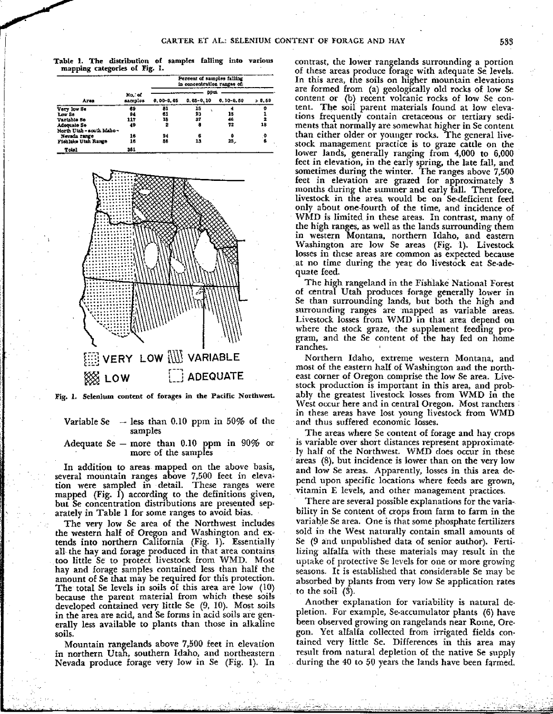**Table I. The distribution of samples falling into various mapping categories of Fig. I.**

| Ares                       | Percent of samples falling<br>in concentration ranges of: |           |               |               |         |
|----------------------------|-----------------------------------------------------------|-----------|---------------|---------------|---------|
|                            | No. of<br>samples                                         | ppu.      |               |               |         |
|                            |                                                           | 0.00-0.05 | $0.05 - 0.10$ | $0.10 - 0.50$ | > 0.50  |
| Very low Se                | 69                                                        | 81        | 15            |               |         |
| Low So                     | 94                                                        | 61        | 23            | 15            |         |
| Variable Se                | 117                                                       | 15        | 37            | 46            |         |
| Adoquato So                | 49                                                        | 2         | 8             | 12            | 18      |
| North Utah - south Idaho - |                                                           |           |               |               |         |
| Nevada rarge               | 16                                                        | 94        | Б             | o             | $\cdot$ |
| Fishlake Utah Range        | 16                                                        | 56        | 13            | 25.           | Ó.      |
| Total                      | 361                                                       |           |               |               |         |



**Fig. I. Selenium content of forages in the Pacific Northwest.**

Variable Se — less than 0.10 ppm in 50% of the samples

Adequate Se – more than  $0.10$  ppm in  $90\%$  or more of the samples

In addition to areas mapped on the above basis, several mountain ranges above 7,500 feet in elevation were sampled in detail. These ranges were mapped (Fig.  $\hat{I}$ ) according to the definitions given, but Se concentration distributions are presented separately in Table 1 for some ranges to avoid bias.

The very low Se area of the Northwest includes the western half of Oregon and Washington and extends into northern California (Fig. 1). Essentially all the hay and forage produced in that area contains too little Se to protect livestock from WMD. Most hay and forage samples contained less than half the amount of Se that may be required for this protection\_ The total Se levels in soils of this area are low (10) because the parent material from which these soils developed contained very little Se (9, 10). Most soils in the area are acid, and Se forms in acid soils are generally less available to plants than those in alkaline soils.

Mountain rangelands above 7,500 feet in elevation in northern Utah, southern Idaho, and northeastern Nevada produce forage very low in Se (Fig. 1). In contrast, the lower rangelands surrounding a portion of these areas produce forage with adequate Se levels. In this area, the soils on higher mountain elevations are formed from (a) geologically old rocks of low Se content or (b) recent volcanic rocks of low Se content. The soil parent materials found at low elevations frequently contain cretaceous or tertiary sediments that normally are somewhat higher in Se content than either older or younger rocks. The general livestock management practice is to graze cattle on the lower lands, generally ranging from 4,000 to 6,000 feet in elevation, in the early spring, the late fall, and sometimes during the winter. The ranges above 7,500 feet in elevation are grazed for approximately 3 months during the summer and early fall. Therefore, livestock in the area would be on Se-deficient feed only about one-fourth of the time, and incidence of WMD is limited in these areas. In contrast, many of the high ranges, as well as the lands surrounding them in western Montana, northern Idaho, and eastern Washington are low Se areas (Fig. I). Livestock losses in these areas are common as expected because at no time during the year do livestock eat Se-adequate feed-

The high rangeland in the Fishlake National Forest of central Utah produces forage generally lower in Se than surrounding lands, but both the high and surrounding ranges are mapped as variable areas. Livestock losses from WMD in that area depend on where the stock graze, the supplement feeding program, and the Se content of the hay fed on home ranches.

Northern Idaho, extreme western Montana, and most of the eastern half of Washington and the northeast corner of Oregon comprise the low Se area. Livestock production is important in this area, and probably the greatest livestock losses from WMD in the West occur here and in central Oregon. Most ranchers in these areas have lost young livestock from WMD and thus suffered economic losses.

The areas where Se content of forage and hay crops is variable over short distances represent approximate . ly half of the Northwest. WMD does occur in these areas (8), but incidence is lower than on the very low and low Se areas. Apparently, losses in this area depend upon specific locations where feeds are grown, vitamin E levels, and other management practices.

There are several possible explanations for the variability in Se content of crops from farm to farm in the variable Se area. One is that some phosphate fertilizers sold in the West naturally contain small amounts of Se (9 and unpublished data of senior author). Fertilizing alfalfa with these materials may result in the uptake of protective Se levels for one or more growing seasons. It is established that considerable Se may be absorbed by plants from very low Se application rates to the soil (3).

Another explanation for variability is natural depletion. For example, Se-accumulator plants (6) have been observed growing on rangelands near Rome, Oregon. Yet alfalfa collected from irrigated fields contained very little Se. Differences in this area may result from natural depletion of the native Se supply during the 40 to 50 years the lands have been farmed.